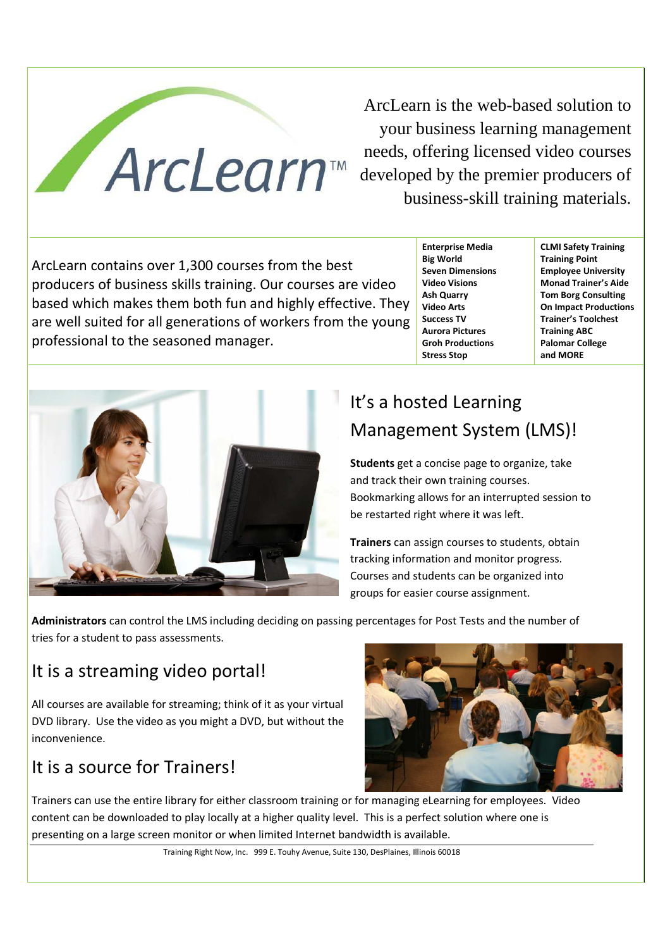

ArcLearn is the web-based solution to your business learning management needs, offering licensed video courses developed by the premier producers of business-skill training materials.

ArcLearn contains over 1,300 courses from the best producers of business skills training. Our courses are video based which makes them both fun and highly effective. They are well suited for all generations of workers from the young professional to the seasoned manager.

**Enterprise Media Big World Seven Dimensions Video Visions Ash Quarry Video Arts Success TV Aurora Pictures Groh Productions Stress Stop** 

**CLMI Safety Training Training Point Employee University Monad Trainer's Aide Tom Borg Consulting On Impact Productions Trainer's Toolchest Training ABC Palomar College and MORE** 



# It's a hosted Learning Management System (LMS)!

**Students** get a concise page to organize, take and track their own training courses. Bookmarking allows for an interrupted session to be restarted right where it was left.

**Trainers** can assign courses to students, obtain tracking information and monitor progress. Courses and students can be organized into groups for easier course assignment.

**Administrators** can control the LMS including deciding on passing percentages for Post Tests and the number of tries for a student to pass assessments.

# It is a streaming video portal!

All courses are available for streaming; think of it as your virtual DVD library. Use the video as you might a DVD, but without the inconvenience.

# It is a source for Trainers!



Trainers can use the entire library for either classroom training or for managing eLearning for employees. Video content can be downloaded to play locally at a higher quality level. This is a perfect solution where one is presenting on a large screen monitor or when limited Internet bandwidth is available.

Training Right Now, Inc. 999 E. Touhy Avenue, Suite 130, DesPlaines, Illinois 60018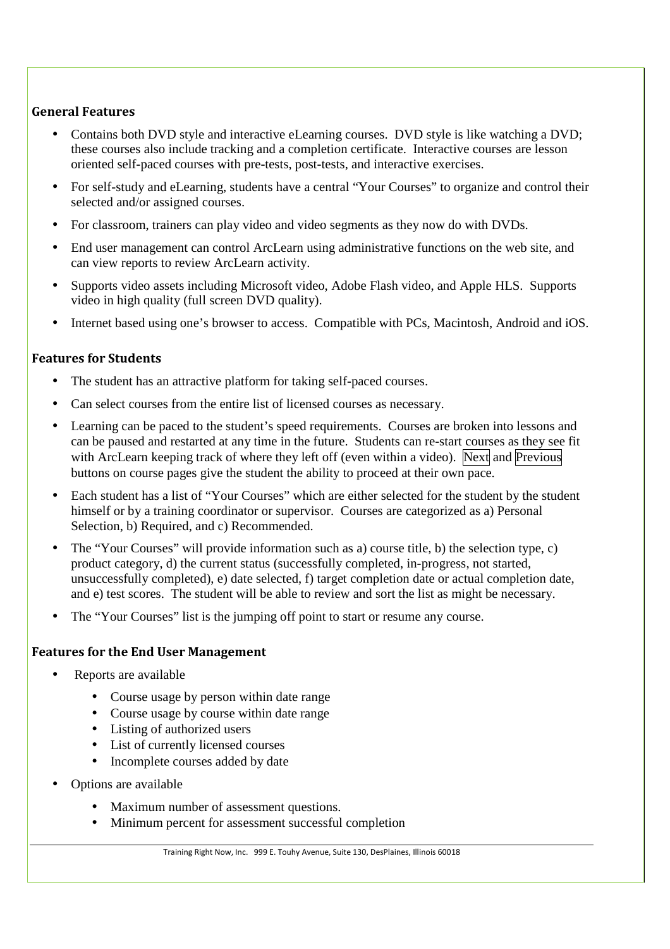### **General Features**

- Contains both DVD style and interactive eLearning courses. DVD style is like watching a DVD; these courses also include tracking and a completion certificate. Interactive courses are lesson oriented self-paced courses with pre-tests, post-tests, and interactive exercises.
- For self-study and eLearning, students have a central "Your Courses" to organize and control their selected and/or assigned courses.
- For classroom, trainers can play video and video segments as they now do with DVDs.
- End user management can control ArcLearn using administrative functions on the web site, and can view reports to review ArcLearn activity.
- Supports video assets including Microsoft video, Adobe Flash video, and Apple HLS. Supports video in high quality (full screen DVD quality).
- Internet based using one's browser to access. Compatible with PCs, Macintosh, Android and iOS.

#### **Features for Students**

- The student has an attractive platform for taking self-paced courses.
- Can select courses from the entire list of licensed courses as necessary.
- Learning can be paced to the student's speed requirements. Courses are broken into lessons and can be paused and restarted at any time in the future. Students can re-start courses as they see fit with ArcLearn keeping track of where they left off (even within a video). Next and Previous buttons on course pages give the student the ability to proceed at their own pace.
- Each student has a list of "Your Courses" which are either selected for the student by the student himself or by a training coordinator or supervisor. Courses are categorized as a) Personal Selection, b) Required, and c) Recommended.
- The "Your Courses" will provide information such as a) course title, b) the selection type, c) product category, d) the current status (successfully completed, in-progress, not started, unsuccessfully completed), e) date selected, f) target completion date or actual completion date, and e) test scores. The student will be able to review and sort the list as might be necessary.
- The "Your Courses" list is the jumping off point to start or resume any course.

#### **Features for the End User Management**

- Reports are available
	- Course usage by person within date range
	- Course usage by course within date range
	- Listing of authorized users
	- List of currently licensed courses
	- Incomplete courses added by date
- Options are available
	- Maximum number of assessment questions.
	- Minimum percent for assessment successful completion